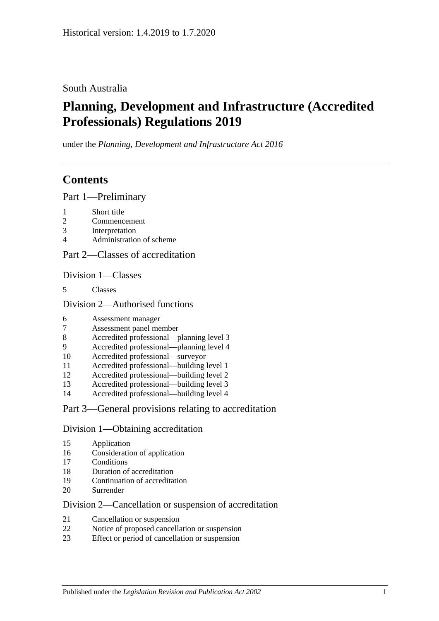### South Australia

# **Planning, Development and Infrastructure (Accredited Professionals) Regulations 2019**

under the *Planning, Development and Infrastructure Act 2016*

## **Contents**

Part [1—Preliminary](#page-1-0)

- [Short title](#page-1-1)
- [Commencement](#page-1-2)
- [Interpretation](#page-2-0)
- [Administration of scheme](#page-3-0)

### Part [2—Classes of accreditation](#page-3-1)

Division [1—Classes](#page-3-2)

[Classes](#page-3-3)

Division [2—Authorised functions](#page-3-4)

- [Assessment manager](#page-3-5)
- [Assessment panel member](#page-4-0)
- [Accredited professional—planning level 3](#page-4-1)
- [Accredited professional—planning level 4](#page-4-2)
- [Accredited professional—surveyor](#page-4-3)
- [Accredited professional—building level 1](#page-4-4)
- [Accredited professional—building level 2](#page-5-0)
- [Accredited professional—building level 3](#page-5-1)
- [Accredited professional—building level 4](#page-5-2)

### Part [3—General provisions relating to accreditation](#page-5-3)

### Division [1—Obtaining accreditation](#page-5-4)

- [Application](#page-5-5)
- [Consideration of application](#page-6-0)
- [Conditions](#page-7-0)
- [Duration of accreditation](#page-7-1)
- [Continuation of accreditation](#page-8-0)
- [Surrender](#page-8-1)

### Division [2—Cancellation or suspension of accreditation](#page-9-0)

- [Cancellation or suspension](#page-9-1)
- [Notice of proposed cancellation or suspension](#page-9-2)
- [Effect or period of cancellation or suspension](#page-10-0)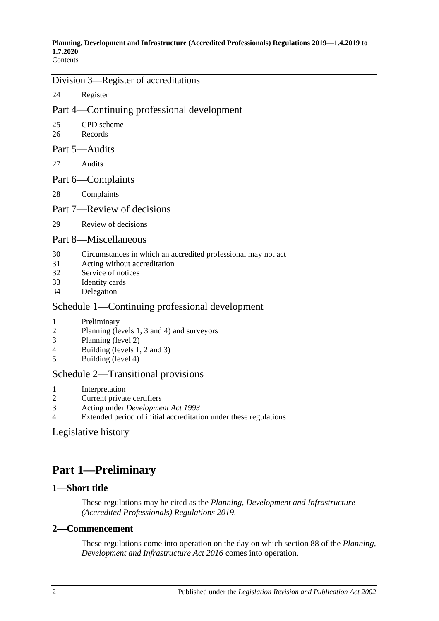### Division [3—Register of accreditations](#page-10-1)

24 [Register](#page-10-2)

### Part [4—Continuing professional development](#page-10-3)

- 25 [CPD scheme](#page-10-4)
- 26 [Records](#page-11-0)

### Part [5—Audits](#page-12-0)

27 [Audits](#page-12-1)

### Part [6—Complaints](#page-15-0)

28 [Complaints](#page-15-1)

### Part [7—Review of decisions](#page-17-0)

29 [Review of decisions](#page-17-1)

### Part [8—Miscellaneous](#page-18-0)

- 30 [Circumstances in which an accredited professional may not act](#page-18-1)
- 31 [Acting without accreditation](#page-18-2)
- 32 [Service of notices](#page-18-3)
- 33 [Identity cards](#page-18-4)
- 34 [Delegation](#page-19-0)

### Schedule [1—Continuing professional development](#page-19-1)

- 1 [Preliminary](#page-19-2)
- 2 [Planning \(levels 1, 3 and 4\) and surveyors](#page-19-3)
- 3 [Planning \(level 2\)](#page-20-0)
- 4 [Building \(levels 1, 2 and 3\)](#page-20-1)
- 5 [Building \(level 4\)](#page-20-2)

### Schedule [2—Transitional provisions](#page-21-0)

- 1 [Interpretation](#page-21-1)
- 2 [Current private certifiers](#page-21-2)
- 3 Acting under *[Development Act](#page-22-0) 1993*
- 4 [Extended period of initial accreditation under these regulations](#page-22-1)

### [Legislative history](#page-23-0)

# <span id="page-1-0"></span>**Part 1—Preliminary**

### <span id="page-1-1"></span>**1—Short title**

These regulations may be cited as the *Planning, Development and Infrastructure (Accredited Professionals) Regulations 2019*.

### <span id="page-1-2"></span>**2—Commencement**

These regulations come into operation on the day on which section 88 of the *[Planning,](http://www.legislation.sa.gov.au/index.aspx?action=legref&type=act&legtitle=Planning%20Development%20and%20Infrastructure%20Act%202016)  [Development and Infrastructure Act](http://www.legislation.sa.gov.au/index.aspx?action=legref&type=act&legtitle=Planning%20Development%20and%20Infrastructure%20Act%202016) 2016* comes into operation.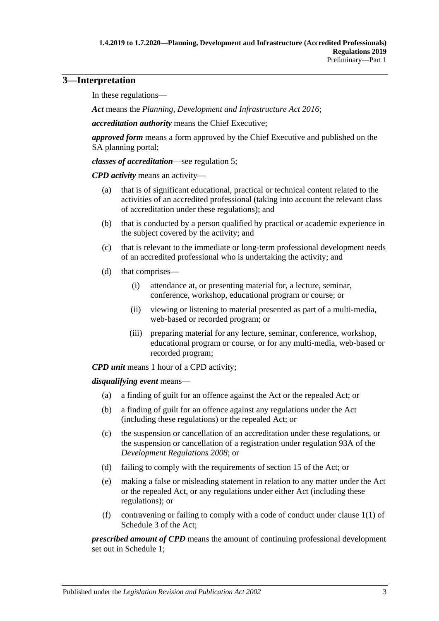### <span id="page-2-0"></span>**3—Interpretation**

In these regulations—

*Act* means the *[Planning, Development and Infrastructure Act](http://www.legislation.sa.gov.au/index.aspx?action=legref&type=act&legtitle=Planning%20Development%20and%20Infrastructure%20Act%202016) 2016*;

*accreditation authority* means the Chief Executive;

*approved form* means a form approved by the Chief Executive and published on the SA planning portal;

*classes of accreditation*—see [regulation](#page-3-3) 5;

*CPD activity* means an activity—

- (a) that is of significant educational, practical or technical content related to the activities of an accredited professional (taking into account the relevant class of accreditation under these regulations); and
- (b) that is conducted by a person qualified by practical or academic experience in the subject covered by the activity; and
- (c) that is relevant to the immediate or long-term professional development needs of an accredited professional who is undertaking the activity; and
- (d) that comprises—
	- (i) attendance at, or presenting material for, a lecture, seminar, conference, workshop, educational program or course; or
	- (ii) viewing or listening to material presented as part of a multi-media, web-based or recorded program; or
	- (iii) preparing material for any lecture, seminar, conference, workshop, educational program or course, or for any multi-media, web-based or recorded program;

*CPD unit* means 1 hour of a CPD activity;

*disqualifying event* means—

- (a) a finding of guilt for an offence against the Act or the repealed Act; or
- (b) a finding of guilt for an offence against any regulations under the Act (including these regulations) or the repealed Act; or
- (c) the suspension or cancellation of an accreditation under these regulations, or the suspension or cancellation of a registration under regulation 93A of the *[Development Regulations](http://www.legislation.sa.gov.au/index.aspx?action=legref&type=subordleg&legtitle=Development%20Regulations%202008) 2008*; or
- (d) failing to comply with the requirements of section 15 of the Act; or
- (e) making a false or misleading statement in relation to any matter under the Act or the repealed Act, or any regulations under either Act (including these regulations); or
- (f) contravening or failing to comply with a code of conduct under clause 1(1) of Schedule 3 of the Act;

*prescribed amount of CPD* means the amount of continuing professional development set out in [Schedule](#page-19-1) 1;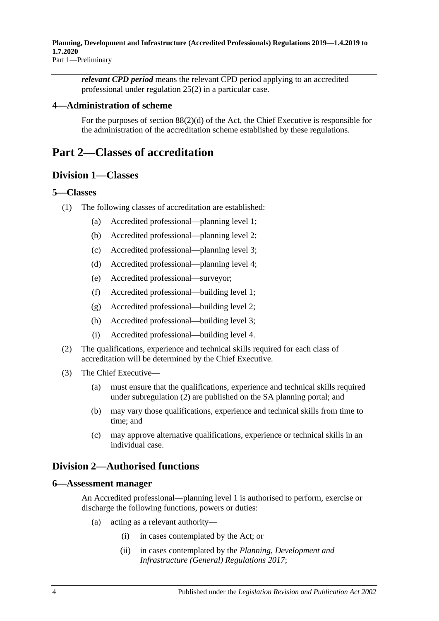*relevant CPD period* means the relevant CPD period applying to an accredited professional under [regulation](#page-10-5) 25(2) in a particular case.

### <span id="page-3-0"></span>**4—Administration of scheme**

For the purposes of section 88(2)(d) of the Act, the Chief Executive is responsible for the administration of the accreditation scheme established by these regulations.

## <span id="page-3-2"></span><span id="page-3-1"></span>**Part 2—Classes of accreditation**

### **Division 1—Classes**

### <span id="page-3-3"></span>**5—Classes**

- (1) The following classes of accreditation are established:
	- (a) Accredited professional—planning level 1;
	- (b) Accredited professional—planning level 2;
	- (c) Accredited professional—planning level 3;
	- (d) Accredited professional—planning level 4;
	- (e) Accredited professional—surveyor;
	- (f) Accredited professional—building level 1;
	- (g) Accredited professional—building level 2;
	- (h) Accredited professional—building level 3;
	- (i) Accredited professional—building level 4.
- <span id="page-3-6"></span>(2) The qualifications, experience and technical skills required for each class of accreditation will be determined by the Chief Executive.
- (3) The Chief Executive—
	- (a) must ensure that the qualifications, experience and technical skills required under [subregulation](#page-3-6) (2) are published on the SA planning portal; and
	- (b) may vary those qualifications, experience and technical skills from time to time; and
	- (c) may approve alternative qualifications, experience or technical skills in an individual case.

### <span id="page-3-4"></span>**Division 2—Authorised functions**

#### <span id="page-3-5"></span>**6—Assessment manager**

An Accredited professional—planning level 1 is authorised to perform, exercise or discharge the following functions, powers or duties:

- (a) acting as a relevant authority—
	- (i) in cases contemplated by the Act; or
	- (ii) in cases contemplated by the *[Planning, Development and](http://www.legislation.sa.gov.au/index.aspx?action=legref&type=subordleg&legtitle=Planning%20Development%20and%20Infrastructure%20(General)%20Regulations%202017)  [Infrastructure \(General\) Regulations](http://www.legislation.sa.gov.au/index.aspx?action=legref&type=subordleg&legtitle=Planning%20Development%20and%20Infrastructure%20(General)%20Regulations%202017) 2017*;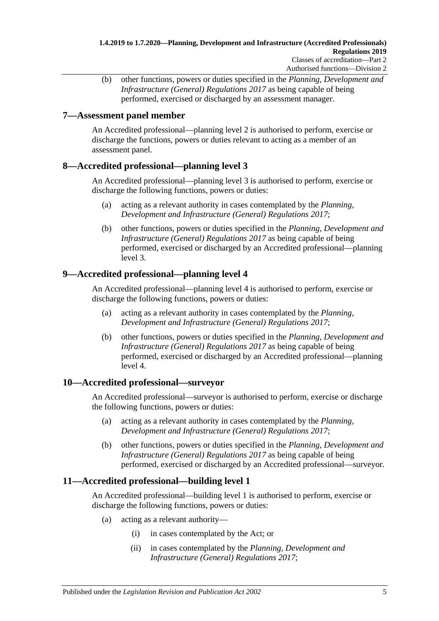(b) other functions, powers or duties specified in the *[Planning, Development and](http://www.legislation.sa.gov.au/index.aspx?action=legref&type=subordleg&legtitle=Planning%20Development%20and%20Infrastructure%20(General)%20Regulations%202017)  [Infrastructure \(General\) Regulations](http://www.legislation.sa.gov.au/index.aspx?action=legref&type=subordleg&legtitle=Planning%20Development%20and%20Infrastructure%20(General)%20Regulations%202017) 2017* as being capable of being performed, exercised or discharged by an assessment manager.

### <span id="page-4-0"></span>**7—Assessment panel member**

An Accredited professional—planning level 2 is authorised to perform, exercise or discharge the functions, powers or duties relevant to acting as a member of an assessment panel.

### <span id="page-4-1"></span>**8—Accredited professional—planning level 3**

An Accredited professional—planning level 3 is authorised to perform, exercise or discharge the following functions, powers or duties:

- (a) acting as a relevant authority in cases contemplated by the *[Planning,](http://www.legislation.sa.gov.au/index.aspx?action=legref&type=subordleg&legtitle=Planning%20Development%20and%20Infrastructure%20(General)%20Regulations%202017)  [Development and Infrastructure \(General\) Regulations](http://www.legislation.sa.gov.au/index.aspx?action=legref&type=subordleg&legtitle=Planning%20Development%20and%20Infrastructure%20(General)%20Regulations%202017) 2017*;
- (b) other functions, powers or duties specified in the *[Planning, Development and](http://www.legislation.sa.gov.au/index.aspx?action=legref&type=subordleg&legtitle=Planning%20Development%20and%20Infrastructure%20(General)%20Regulations%202017)  [Infrastructure \(General\) Regulations](http://www.legislation.sa.gov.au/index.aspx?action=legref&type=subordleg&legtitle=Planning%20Development%20and%20Infrastructure%20(General)%20Regulations%202017) 2017* as being capable of being performed, exercised or discharged by an Accredited professional—planning level 3.

### <span id="page-4-2"></span>**9—Accredited professional—planning level 4**

An Accredited professional—planning level 4 is authorised to perform, exercise or discharge the following functions, powers or duties:

- (a) acting as a relevant authority in cases contemplated by the *[Planning,](http://www.legislation.sa.gov.au/index.aspx?action=legref&type=subordleg&legtitle=Planning%20Development%20and%20Infrastructure%20(General)%20Regulations%202017)  [Development and Infrastructure \(General\) Regulations](http://www.legislation.sa.gov.au/index.aspx?action=legref&type=subordleg&legtitle=Planning%20Development%20and%20Infrastructure%20(General)%20Regulations%202017) 2017*;
- (b) other functions, powers or duties specified in the *[Planning, Development and](http://www.legislation.sa.gov.au/index.aspx?action=legref&type=subordleg&legtitle=Planning%20Development%20and%20Infrastructure%20(General)%20Regulations%202017)  [Infrastructure \(General\) Regulations](http://www.legislation.sa.gov.au/index.aspx?action=legref&type=subordleg&legtitle=Planning%20Development%20and%20Infrastructure%20(General)%20Regulations%202017) 2017* as being capable of being performed, exercised or discharged by an Accredited professional—planning level 4.

### <span id="page-4-3"></span>**10—Accredited professional—surveyor**

An Accredited professional—surveyor is authorised to perform, exercise or discharge the following functions, powers or duties:

- (a) acting as a relevant authority in cases contemplated by the *[Planning,](http://www.legislation.sa.gov.au/index.aspx?action=legref&type=subordleg&legtitle=Planning%20Development%20and%20Infrastructure%20(General)%20Regulations%202017)  [Development and Infrastructure \(General\) Regulations](http://www.legislation.sa.gov.au/index.aspx?action=legref&type=subordleg&legtitle=Planning%20Development%20and%20Infrastructure%20(General)%20Regulations%202017) 2017*;
- (b) other functions, powers or duties specified in the *[Planning, Development and](http://www.legislation.sa.gov.au/index.aspx?action=legref&type=subordleg&legtitle=Planning%20Development%20and%20Infrastructure%20(General)%20Regulations%202017)  [Infrastructure \(General\) Regulations](http://www.legislation.sa.gov.au/index.aspx?action=legref&type=subordleg&legtitle=Planning%20Development%20and%20Infrastructure%20(General)%20Regulations%202017) 2017* as being capable of being performed, exercised or discharged by an Accredited professional—surveyor.

### <span id="page-4-4"></span>**11—Accredited professional—building level 1**

An Accredited professional—building level 1 is authorised to perform, exercise or discharge the following functions, powers or duties:

- (a) acting as a relevant authority—
	- (i) in cases contemplated by the Act; or
	- (ii) in cases contemplated by the *[Planning, Development and](http://www.legislation.sa.gov.au/index.aspx?action=legref&type=subordleg&legtitle=Planning%20Development%20and%20Infrastructure%20(General)%20Regulations%202017)  [Infrastructure \(General\) Regulations](http://www.legislation.sa.gov.au/index.aspx?action=legref&type=subordleg&legtitle=Planning%20Development%20and%20Infrastructure%20(General)%20Regulations%202017) 2017*;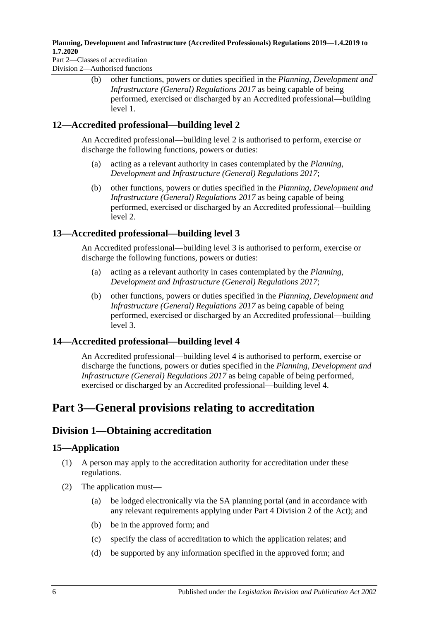Part 2—Classes of accreditation Division 2—Authorised functions

> (b) other functions, powers or duties specified in the *[Planning, Development and](http://www.legislation.sa.gov.au/index.aspx?action=legref&type=subordleg&legtitle=Planning%20Development%20and%20Infrastructure%20(General)%20Regulations%202017)  [Infrastructure \(General\) Regulations](http://www.legislation.sa.gov.au/index.aspx?action=legref&type=subordleg&legtitle=Planning%20Development%20and%20Infrastructure%20(General)%20Regulations%202017) 2017* as being capable of being performed, exercised or discharged by an Accredited professional—building level 1.

### <span id="page-5-0"></span>**12—Accredited professional—building level 2**

An Accredited professional—building level 2 is authorised to perform, exercise or discharge the following functions, powers or duties:

- (a) acting as a relevant authority in cases contemplated by the *[Planning,](http://www.legislation.sa.gov.au/index.aspx?action=legref&type=subordleg&legtitle=Planning%20Development%20and%20Infrastructure%20(General)%20Regulations%202017)  [Development and Infrastructure \(General\) Regulations](http://www.legislation.sa.gov.au/index.aspx?action=legref&type=subordleg&legtitle=Planning%20Development%20and%20Infrastructure%20(General)%20Regulations%202017) 2017*;
- (b) other functions, powers or duties specified in the *[Planning, Development and](http://www.legislation.sa.gov.au/index.aspx?action=legref&type=subordleg&legtitle=Planning%20Development%20and%20Infrastructure%20(General)%20Regulations%202017)  [Infrastructure \(General\) Regulations](http://www.legislation.sa.gov.au/index.aspx?action=legref&type=subordleg&legtitle=Planning%20Development%20and%20Infrastructure%20(General)%20Regulations%202017) 2017* as being capable of being performed, exercised or discharged by an Accredited professional—building level 2.

## <span id="page-5-1"></span>**13—Accredited professional—building level 3**

An Accredited professional—building level 3 is authorised to perform, exercise or discharge the following functions, powers or duties:

- (a) acting as a relevant authority in cases contemplated by the *[Planning,](http://www.legislation.sa.gov.au/index.aspx?action=legref&type=subordleg&legtitle=Planning%20Development%20and%20Infrastructure%20(General)%20Regulations%202017)  [Development and Infrastructure \(General\) Regulations](http://www.legislation.sa.gov.au/index.aspx?action=legref&type=subordleg&legtitle=Planning%20Development%20and%20Infrastructure%20(General)%20Regulations%202017) 2017*;
- (b) other functions, powers or duties specified in the *[Planning, Development and](http://www.legislation.sa.gov.au/index.aspx?action=legref&type=subordleg&legtitle=Planning%20Development%20and%20Infrastructure%20(General)%20Regulations%202017)  [Infrastructure \(General\) Regulations](http://www.legislation.sa.gov.au/index.aspx?action=legref&type=subordleg&legtitle=Planning%20Development%20and%20Infrastructure%20(General)%20Regulations%202017) 2017* as being capable of being performed, exercised or discharged by an Accredited professional—building level 3.

### <span id="page-5-2"></span>**14—Accredited professional—building level 4**

An Accredited professional—building level 4 is authorised to perform, exercise or discharge the functions, powers or duties specified in the *[Planning, Development and](http://www.legislation.sa.gov.au/index.aspx?action=legref&type=subordleg&legtitle=Planning%20Development%20and%20Infrastructure%20(General)%20Regulations%202017)  [Infrastructure \(General\) Regulations](http://www.legislation.sa.gov.au/index.aspx?action=legref&type=subordleg&legtitle=Planning%20Development%20and%20Infrastructure%20(General)%20Regulations%202017) 2017* as being capable of being performed, exercised or discharged by an Accredited professional—building level 4.

# <span id="page-5-3"></span>**Part 3—General provisions relating to accreditation**

## <span id="page-5-4"></span>**Division 1—Obtaining accreditation**

### <span id="page-5-5"></span>**15—Application**

- (1) A person may apply to the accreditation authority for accreditation under these regulations.
- (2) The application must—
	- (a) be lodged electronically via the SA planning portal (and in accordance with any relevant requirements applying under Part 4 Division 2 of the Act); and
	- (b) be in the approved form; and
	- (c) specify the class of accreditation to which the application relates; and
	- (d) be supported by any information specified in the approved form; and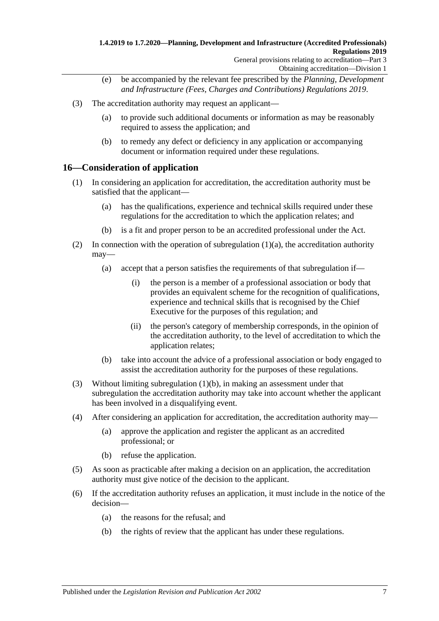- (e) be accompanied by the relevant fee prescribed by the *[Planning, Development](http://www.legislation.sa.gov.au/index.aspx?action=legref&type=subordleg&legtitle=Planning%20Development%20and%20Infrastructure%20(Fees%20Charges%20and%20Contributions)%20Regulations%202019)  [and Infrastructure \(Fees, Charges and Contributions\) Regulations](http://www.legislation.sa.gov.au/index.aspx?action=legref&type=subordleg&legtitle=Planning%20Development%20and%20Infrastructure%20(Fees%20Charges%20and%20Contributions)%20Regulations%202019) 2019*.
- (3) The accreditation authority may request an applicant—
	- (a) to provide such additional documents or information as may be reasonably required to assess the application; and
	- (b) to remedy any defect or deficiency in any application or accompanying document or information required under these regulations.

### <span id="page-6-0"></span>**16—Consideration of application**

- <span id="page-6-1"></span>(1) In considering an application for accreditation, the accreditation authority must be satisfied that the applicant—
	- (a) has the qualifications, experience and technical skills required under these regulations for the accreditation to which the application relates; and
	- (b) is a fit and proper person to be an accredited professional under the Act.
- <span id="page-6-2"></span>(2) In connection with the operation of [subregulation](#page-6-1)  $(1)(a)$ , the accreditation authority may—
	- (a) accept that a person satisfies the requirements of that subregulation if—
		- (i) the person is a member of a professional association or body that provides an equivalent scheme for the recognition of qualifications, experience and technical skills that is recognised by the Chief Executive for the purposes of this regulation; and
		- (ii) the person's category of membership corresponds, in the opinion of the accreditation authority, to the level of accreditation to which the application relates;
	- (b) take into account the advice of a professional association or body engaged to assist the accreditation authority for the purposes of these regulations.
- <span id="page-6-3"></span>(3) Without limiting [subregulation](#page-6-2) (1)(b), in making an assessment under that subregulation the accreditation authority may take into account whether the applicant has been involved in a disqualifying event.
- (4) After considering an application for accreditation, the accreditation authority may—
	- (a) approve the application and register the applicant as an accredited professional; or
	- (b) refuse the application.
- (5) As soon as practicable after making a decision on an application, the accreditation authority must give notice of the decision to the applicant.
- (6) If the accreditation authority refuses an application, it must include in the notice of the decision—
	- (a) the reasons for the refusal; and
	- (b) the rights of review that the applicant has under these regulations.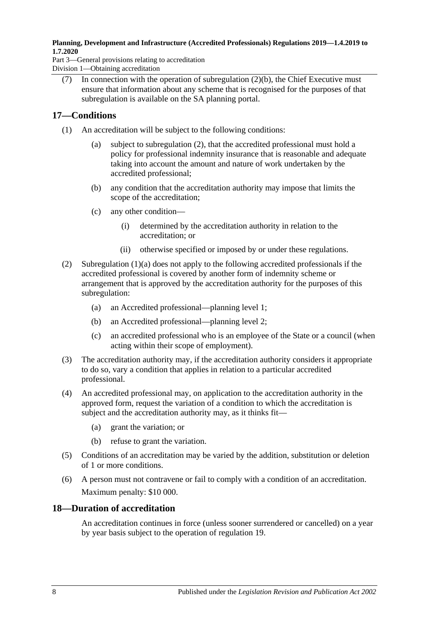Part 3—General provisions relating to accreditation Division 1—Obtaining accreditation

(7) In connection with the operation of [subregulation](#page-6-3)  $(2)(b)$ , the Chief Executive must ensure that information about any scheme that is recognised for the purposes of that subregulation is available on the SA planning portal.

## <span id="page-7-0"></span>**17—Conditions**

- <span id="page-7-3"></span>(1) An accreditation will be subject to the following conditions:
	- (a) subject to [subregulation](#page-7-2) (2), that the accredited professional must hold a policy for professional indemnity insurance that is reasonable and adequate taking into account the amount and nature of work undertaken by the accredited professional;
	- (b) any condition that the accreditation authority may impose that limits the scope of the accreditation;
	- (c) any other condition—
		- (i) determined by the accreditation authority in relation to the accreditation; or
		- (ii) otherwise specified or imposed by or under these regulations.
- <span id="page-7-2"></span>(2) [Subregulation](#page-7-3) (1)(a) does not apply to the following accredited professionals if the accredited professional is covered by another form of indemnity scheme or arrangement that is approved by the accreditation authority for the purposes of this subregulation:
	- (a) an Accredited professional—planning level 1;
	- (b) an Accredited professional—planning level 2;
	- (c) an accredited professional who is an employee of the State or a council (when acting within their scope of employment).
- (3) The accreditation authority may, if the accreditation authority considers it appropriate to do so, vary a condition that applies in relation to a particular accredited professional.
- (4) An accredited professional may, on application to the accreditation authority in the approved form, request the variation of a condition to which the accreditation is subject and the accreditation authority may, as it thinks fit—
	- (a) grant the variation; or
	- (b) refuse to grant the variation.
- (5) Conditions of an accreditation may be varied by the addition, substitution or deletion of 1 or more conditions.
- (6) A person must not contravene or fail to comply with a condition of an accreditation. Maximum penalty: \$10 000.

### <span id="page-7-1"></span>**18—Duration of accreditation**

An accreditation continues in force (unless sooner surrendered or cancelled) on a year by year basis subject to the operation of [regulation](#page-8-0) 19.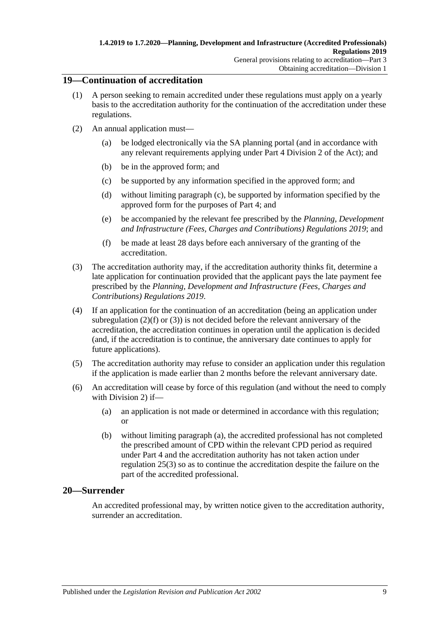### <span id="page-8-0"></span>**19—Continuation of accreditation**

- (1) A person seeking to remain accredited under these regulations must apply on a yearly basis to the accreditation authority for the continuation of the accreditation under these regulations.
- <span id="page-8-2"></span>(2) An annual application must
	- be lodged electronically via the SA planning portal (and in accordance with any relevant requirements applying under Part 4 Division 2 of the Act); and
	- (b) be in the approved form; and
	- (c) be supported by any information specified in the approved form; and
	- (d) without limiting [paragraph](#page-8-2) (c), be supported by information specified by the approved form for the purposes of [Part](#page-10-3) 4; and
	- (e) be accompanied by the relevant fee prescribed by the *[Planning, Development](http://www.legislation.sa.gov.au/index.aspx?action=legref&type=subordleg&legtitle=Planning%20Development%20and%20Infrastructure%20(Fees%20Charges%20and%20Contributions)%20Regulations%202019)  [and Infrastructure \(Fees, Charges and Contributions\) Regulations](http://www.legislation.sa.gov.au/index.aspx?action=legref&type=subordleg&legtitle=Planning%20Development%20and%20Infrastructure%20(Fees%20Charges%20and%20Contributions)%20Regulations%202019) 2019*; and
	- (f) be made at least 28 days before each anniversary of the granting of the accreditation.
- <span id="page-8-4"></span><span id="page-8-3"></span>(3) The accreditation authority may, if the accreditation authority thinks fit, determine a late application for continuation provided that the applicant pays the late payment fee prescribed by the *[Planning, Development and Infrastructure \(Fees, Charges and](http://www.legislation.sa.gov.au/index.aspx?action=legref&type=subordleg&legtitle=Planning%20Development%20and%20Infrastructure%20(Fees%20Charges%20and%20Contributions)%20Regulations%202019)  [Contributions\) Regulations](http://www.legislation.sa.gov.au/index.aspx?action=legref&type=subordleg&legtitle=Planning%20Development%20and%20Infrastructure%20(Fees%20Charges%20and%20Contributions)%20Regulations%202019) 2019*.
- (4) If an application for the continuation of an accreditation (being an application under [subregulation](#page-8-3)  $(2)(f)$  or  $(3)$ ) is not decided before the relevant anniversary of the accreditation, the accreditation continues in operation until the application is decided (and, if the accreditation is to continue, the anniversary date continues to apply for future applications).
- (5) The accreditation authority may refuse to consider an application under this regulation if the application is made earlier than 2 months before the relevant anniversary date.
- <span id="page-8-5"></span>(6) An accreditation will cease by force of this regulation (and without the need to comply with [Division](#page-9-0) 2) if—
	- (a) an application is not made or determined in accordance with this regulation; or
	- (b) without limiting [paragraph](#page-8-5) (a), the accredited professional has not completed the prescribed amount of CPD within the relevant CPD period as required under [Part](#page-10-3) 4 and the accreditation authority has not taken action under [regulation](#page-11-1) 25(3) so as to continue the accreditation despite the failure on the part of the accredited professional.

### <span id="page-8-1"></span>**20—Surrender**

An accredited professional may, by written notice given to the accreditation authority, surrender an accreditation.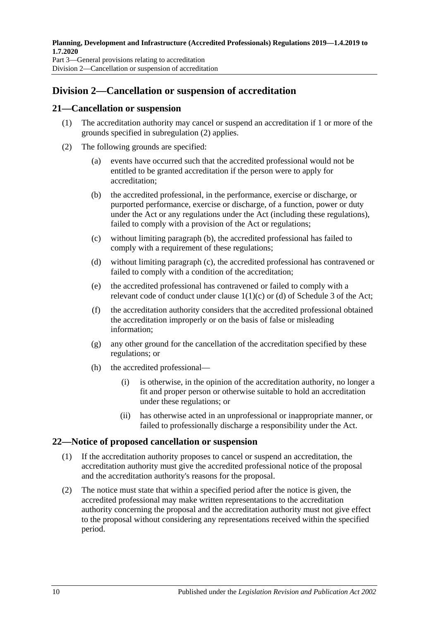## <span id="page-9-0"></span>**Division 2—Cancellation or suspension of accreditation**

### <span id="page-9-1"></span>**21—Cancellation or suspension**

- (1) The accreditation authority may cancel or suspend an accreditation if 1 or more of the grounds specified in [subregulation](#page-9-3) (2) applies.
- <span id="page-9-5"></span><span id="page-9-4"></span><span id="page-9-3"></span>(2) The following grounds are specified:
	- (a) events have occurred such that the accredited professional would not be entitled to be granted accreditation if the person were to apply for accreditation;
	- (b) the accredited professional, in the performance, exercise or discharge, or purported performance, exercise or discharge, of a function, power or duty under the Act or any regulations under the Act (including these regulations), failed to comply with a provision of the Act or regulations;
	- (c) without limiting [paragraph](#page-9-4) (b), the accredited professional has failed to comply with a requirement of these regulations;
	- (d) without limiting [paragraph](#page-9-5) (c), the accredited professional has contravened or failed to comply with a condition of the accreditation;
	- (e) the accredited professional has contravened or failed to comply with a relevant code of conduct under clause 1(1)(c) or (d) of Schedule 3 of the Act;
	- (f) the accreditation authority considers that the accredited professional obtained the accreditation improperly or on the basis of false or misleading information;
	- (g) any other ground for the cancellation of the accreditation specified by these regulations; or
	- (h) the accredited professional—
		- (i) is otherwise, in the opinion of the accreditation authority, no longer a fit and proper person or otherwise suitable to hold an accreditation under these regulations; or
		- (ii) has otherwise acted in an unprofessional or inappropriate manner, or failed to professionally discharge a responsibility under the Act.

### <span id="page-9-2"></span>**22—Notice of proposed cancellation or suspension**

- (1) If the accreditation authority proposes to cancel or suspend an accreditation, the accreditation authority must give the accredited professional notice of the proposal and the accreditation authority's reasons for the proposal.
- (2) The notice must state that within a specified period after the notice is given, the accredited professional may make written representations to the accreditation authority concerning the proposal and the accreditation authority must not give effect to the proposal without considering any representations received within the specified period.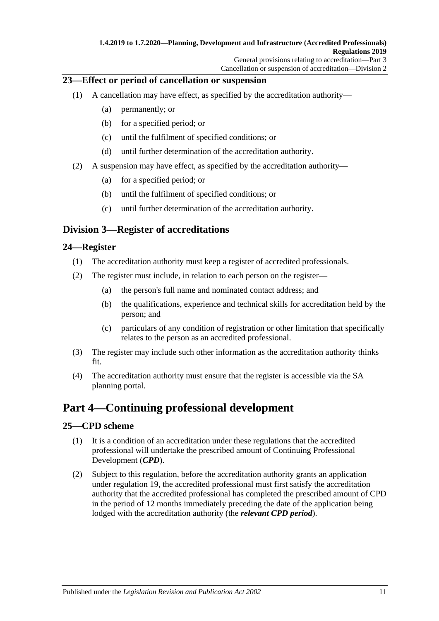### <span id="page-10-0"></span>**23—Effect or period of cancellation or suspension**

- (1) A cancellation may have effect, as specified by the accreditation authority—
	- (a) permanently; or
	- (b) for a specified period; or
	- (c) until the fulfilment of specified conditions; or
	- (d) until further determination of the accreditation authority.
- (2) A suspension may have effect, as specified by the accreditation authority—
	- (a) for a specified period; or
	- (b) until the fulfilment of specified conditions; or
	- (c) until further determination of the accreditation authority.

## <span id="page-10-1"></span>**Division 3—Register of accreditations**

### <span id="page-10-2"></span>**24—Register**

- (1) The accreditation authority must keep a register of accredited professionals.
- (2) The register must include, in relation to each person on the register—
	- (a) the person's full name and nominated contact address; and
	- (b) the qualifications, experience and technical skills for accreditation held by the person; and
	- (c) particulars of any condition of registration or other limitation that specifically relates to the person as an accredited professional.
- (3) The register may include such other information as the accreditation authority thinks fit.
- (4) The accreditation authority must ensure that the register is accessible via the SA planning portal.

## <span id="page-10-3"></span>**Part 4—Continuing professional development**

### <span id="page-10-6"></span><span id="page-10-4"></span>**25—CPD scheme**

- (1) It is a condition of an accreditation under these regulations that the accredited professional will undertake the prescribed amount of Continuing Professional Development (*CPD*).
- <span id="page-10-5"></span>(2) Subject to this regulation, before the accreditation authority grants an application under [regulation](#page-8-0) 19, the accredited professional must first satisfy the accreditation authority that the accredited professional has completed the prescribed amount of CPD in the period of 12 months immediately preceding the date of the application being lodged with the accreditation authority (the *relevant CPD period*).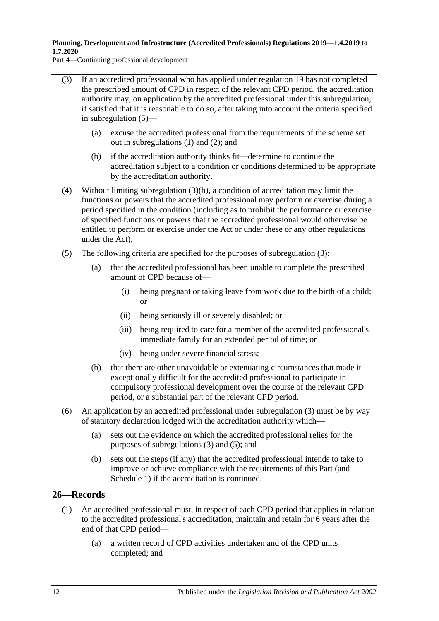Part 4—Continuing professional development

- <span id="page-11-1"></span>(3) If an accredited professional who has applied under [regulation](#page-8-0) 19 has not completed the prescribed amount of CPD in respect of the relevant CPD period, the accreditation authority may, on application by the accredited professional under this subregulation, if satisfied that it is reasonable to do so, after taking into account the criteria specified in [subregulation](#page-11-2) (5)—
	- (a) excuse the accredited professional from the requirements of the scheme set out in [subregulations](#page-10-6) (1) and [\(2\);](#page-10-5) and
	- (b) if the accreditation authority thinks fit—determine to continue the accreditation subject to a condition or conditions determined to be appropriate by the accreditation authority.
- <span id="page-11-3"></span>(4) Without limiting [subregulation](#page-11-3) (3)(b), a condition of accreditation may limit the functions or powers that the accredited professional may perform or exercise during a period specified in the condition (including as to prohibit the performance or exercise of specified functions or powers that the accredited professional would otherwise be entitled to perform or exercise under the Act or under these or any other regulations under the Act).
- <span id="page-11-2"></span>(5) The following criteria are specified for the purposes of [subregulation](#page-11-1) (3):
	- (a) that the accredited professional has been unable to complete the prescribed amount of CPD because of—
		- (i) being pregnant or taking leave from work due to the birth of a child; or
		- (ii) being seriously ill or severely disabled; or
		- (iii) being required to care for a member of the accredited professional's immediate family for an extended period of time; or
		- (iv) being under severe financial stress;
	- (b) that there are other unavoidable or extenuating circumstances that made it exceptionally difficult for the accredited professional to participate in compulsory professional development over the course of the relevant CPD period, or a substantial part of the relevant CPD period.
- (6) An application by an accredited professional under [subregulation](#page-11-1) (3) must be by way of statutory declaration lodged with the accreditation authority which—
	- (a) sets out the evidence on which the accredited professional relies for the purposes of [subregulations](#page-11-1) (3) and [\(5\);](#page-11-2) and
	- (b) sets out the steps (if any) that the accredited professional intends to take to improve or achieve compliance with the requirements of this Part (and [Schedule](#page-19-1) 1) if the accreditation is continued.

### <span id="page-11-4"></span><span id="page-11-0"></span>**26—Records**

- (1) An accredited professional must, in respect of each CPD period that applies in relation to the accredited professional's accreditation, maintain and retain for 6 years after the end of that CPD period—
	- (a) a written record of CPD activities undertaken and of the CPD units completed; and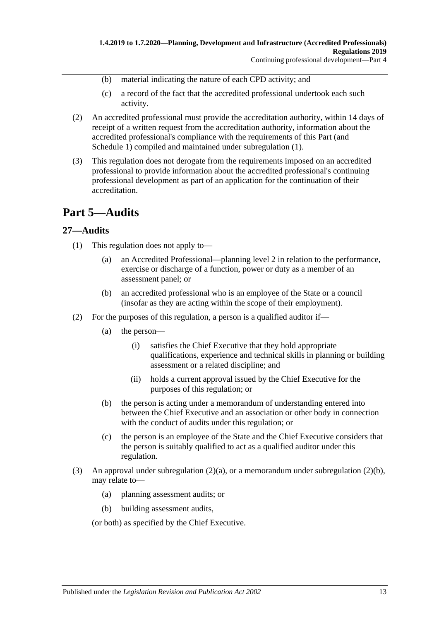- (b) material indicating the nature of each CPD activity; and
- (c) a record of the fact that the accredited professional undertook each such activity.
- (2) An accredited professional must provide the accreditation authority, within 14 days of receipt of a written request from the accreditation authority, information about the accredited professional's compliance with the requirements of this Part (and [Schedule](#page-19-1) 1) compiled and maintained under [subregulation](#page-11-4) (1).
- (3) This regulation does not derogate from the requirements imposed on an accredited professional to provide information about the accredited professional's continuing professional development as part of an application for the continuation of their accreditation.

## <span id="page-12-0"></span>**Part 5—Audits**

### <span id="page-12-1"></span>**27—Audits**

- (1) This regulation does not apply to—
	- (a) an Accredited Professional—planning level 2 in relation to the performance, exercise or discharge of a function, power or duty as a member of an assessment panel; or
	- (b) an accredited professional who is an employee of the State or a council (insofar as they are acting within the scope of their employment).
- <span id="page-12-2"></span>(2) For the purposes of this regulation, a person is a qualified auditor if—
	- (a) the person—
		- (i) satisfies the Chief Executive that they hold appropriate qualifications, experience and technical skills in planning or building assessment or a related discipline; and
		- (ii) holds a current approval issued by the Chief Executive for the purposes of this regulation; or
	- (b) the person is acting under a memorandum of understanding entered into between the Chief Executive and an association or other body in connection with the conduct of audits under this regulation; or
	- (c) the person is an employee of the State and the Chief Executive considers that the person is suitably qualified to act as a qualified auditor under this regulation.
- <span id="page-12-3"></span>(3) An approval under [subregulation](#page-12-3)  $(2)(a)$ , or a memorandum under subregulation  $(2)(b)$ , may relate to—
	- (a) planning assessment audits; or
	- (b) building assessment audits,

(or both) as specified by the Chief Executive.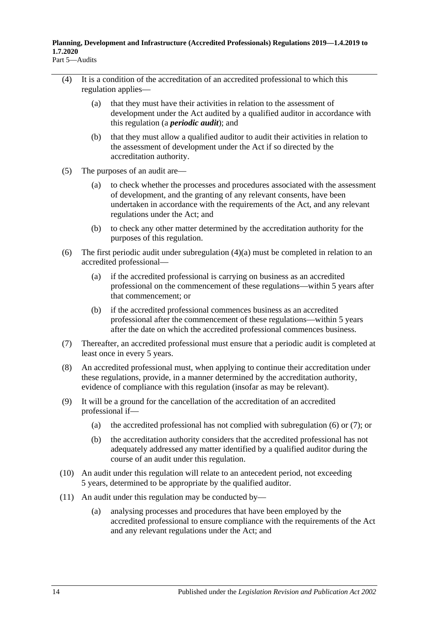- <span id="page-13-0"></span>(4) It is a condition of the accreditation of an accredited professional to which this regulation applies—
	- (a) that they must have their activities in relation to the assessment of development under the Act audited by a qualified auditor in accordance with this regulation (a *periodic audit*); and
	- (b) that they must allow a qualified auditor to audit their activities in relation to the assessment of development under the Act if so directed by the accreditation authority.
- (5) The purposes of an audit are—
	- (a) to check whether the processes and procedures associated with the assessment of development, and the granting of any relevant consents, have been undertaken in accordance with the requirements of the Act, and any relevant regulations under the Act; and
	- (b) to check any other matter determined by the accreditation authority for the purposes of this regulation.
- <span id="page-13-1"></span>(6) The first periodic audit under [subregulation](#page-13-0) (4)(a) must be completed in relation to an accredited professional—
	- (a) if the accredited professional is carrying on business as an accredited professional on the commencement of these regulations—within 5 years after that commencement; or
	- (b) if the accredited professional commences business as an accredited professional after the commencement of these regulations—within 5 years after the date on which the accredited professional commences business.
- <span id="page-13-2"></span>(7) Thereafter, an accredited professional must ensure that a periodic audit is completed at least once in every 5 years.
- (8) An accredited professional must, when applying to continue their accreditation under these regulations, provide, in a manner determined by the accreditation authority, evidence of compliance with this regulation (insofar as may be relevant).
- (9) It will be a ground for the cancellation of the accreditation of an accredited professional if
	- (a) the accredited professional has not complied with [subregulation](#page-13-1)  $(6)$  or  $(7)$ ; or
	- (b) the accreditation authority considers that the accredited professional has not adequately addressed any matter identified by a qualified auditor during the course of an audit under this regulation.
- (10) An audit under this regulation will relate to an antecedent period, not exceeding 5 years, determined to be appropriate by the qualified auditor.
- (11) An audit under this regulation may be conducted by—
	- (a) analysing processes and procedures that have been employed by the accredited professional to ensure compliance with the requirements of the Act and any relevant regulations under the Act; and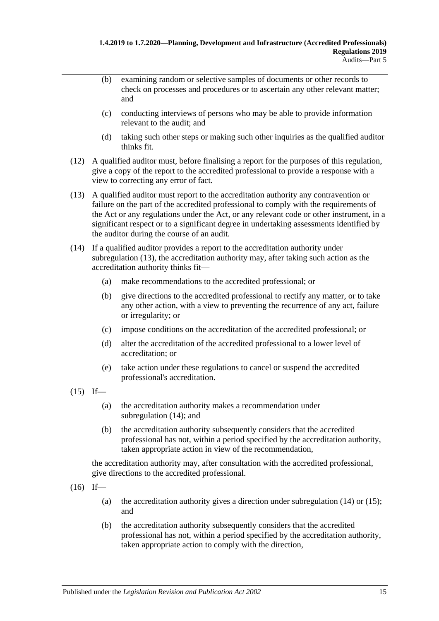- (b) examining random or selective samples of documents or other records to check on processes and procedures or to ascertain any other relevant matter; and
- (c) conducting interviews of persons who may be able to provide information relevant to the audit; and
- (d) taking such other steps or making such other inquiries as the qualified auditor thinks fit.
- (12) A qualified auditor must, before finalising a report for the purposes of this regulation, give a copy of the report to the accredited professional to provide a response with a view to correcting any error of fact.
- <span id="page-14-0"></span>(13) A qualified auditor must report to the accreditation authority any contravention or failure on the part of the accredited professional to comply with the requirements of the Act or any regulations under the Act, or any relevant code or other instrument, in a significant respect or to a significant degree in undertaking assessments identified by the auditor during the course of an audit.
- <span id="page-14-1"></span>(14) If a qualified auditor provides a report to the accreditation authority under [subregulation](#page-14-0) (13), the accreditation authority may, after taking such action as the accreditation authority thinks fit—
	- (a) make recommendations to the accredited professional; or
	- (b) give directions to the accredited professional to rectify any matter, or to take any other action, with a view to preventing the recurrence of any act, failure or irregularity; or
	- (c) impose conditions on the accreditation of the accredited professional; or
	- (d) alter the accreditation of the accredited professional to a lower level of accreditation; or
	- (e) take action under these regulations to cancel or suspend the accredited professional's accreditation.
- <span id="page-14-2"></span> $(15)$  If—
	- (a) the accreditation authority makes a recommendation under [subregulation](#page-14-1) (14); and
	- (b) the accreditation authority subsequently considers that the accredited professional has not, within a period specified by the accreditation authority, taken appropriate action in view of the recommendation,

the accreditation authority may, after consultation with the accredited professional, give directions to the accredited professional.

- $(16)$  If
	- (a) the accreditation authority gives a direction under [subregulation](#page-14-1)  $(14)$  or  $(15)$ ; and
	- (b) the accreditation authority subsequently considers that the accredited professional has not, within a period specified by the accreditation authority, taken appropriate action to comply with the direction,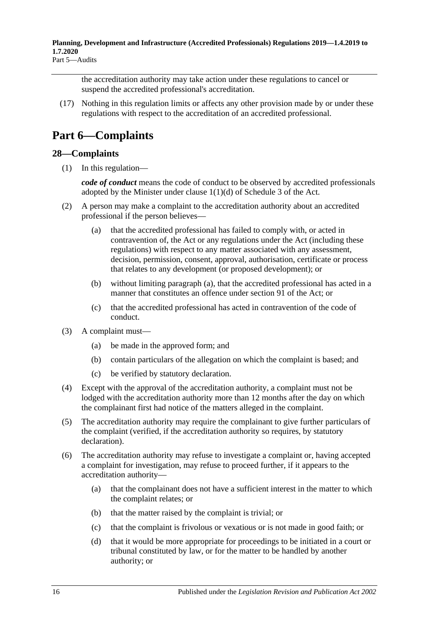the accreditation authority may take action under these regulations to cancel or suspend the accredited professional's accreditation.

(17) Nothing in this regulation limits or affects any other provision made by or under these regulations with respect to the accreditation of an accredited professional.

# <span id="page-15-0"></span>**Part 6—Complaints**

### <span id="page-15-1"></span>**28—Complaints**

(1) In this regulation—

*code of conduct* means the code of conduct to be observed by accredited professionals adopted by the Minister under clause 1(1)(d) of Schedule 3 of the Act.

- <span id="page-15-2"></span>(2) A person may make a complaint to the accreditation authority about an accredited professional if the person believes—
	- (a) that the accredited professional has failed to comply with, or acted in contravention of, the Act or any regulations under the Act (including these regulations) with respect to any matter associated with any assessment, decision, permission, consent, approval, authorisation, certificate or process that relates to any development (or proposed development); or
	- (b) without limiting [paragraph](#page-15-2) (a), that the accredited professional has acted in a manner that constitutes an offence under section 91 of the Act; or
	- (c) that the accredited professional has acted in contravention of the code of conduct.
- (3) A complaint must—
	- (a) be made in the approved form; and
	- (b) contain particulars of the allegation on which the complaint is based; and
	- (c) be verified by statutory declaration.
- (4) Except with the approval of the accreditation authority, a complaint must not be lodged with the accreditation authority more than 12 months after the day on which the complainant first had notice of the matters alleged in the complaint.
- (5) The accreditation authority may require the complainant to give further particulars of the complaint (verified, if the accreditation authority so requires, by statutory declaration).
- <span id="page-15-3"></span>(6) The accreditation authority may refuse to investigate a complaint or, having accepted a complaint for investigation, may refuse to proceed further, if it appears to the accreditation authority—
	- (a) that the complainant does not have a sufficient interest in the matter to which the complaint relates; or
	- (b) that the matter raised by the complaint is trivial; or
	- (c) that the complaint is frivolous or vexatious or is not made in good faith; or
	- (d) that it would be more appropriate for proceedings to be initiated in a court or tribunal constituted by law, or for the matter to be handled by another authority; or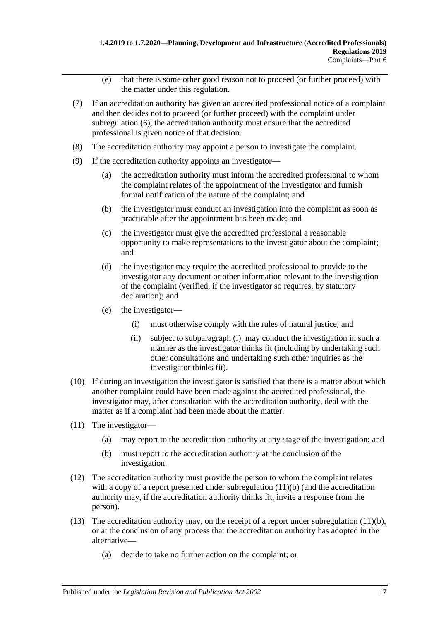- (e) that there is some other good reason not to proceed (or further proceed) with the matter under this regulation.
- (7) If an accreditation authority has given an accredited professional notice of a complaint and then decides not to proceed (or further proceed) with the complaint under [subregulation](#page-15-3) (6), the accreditation authority must ensure that the accredited professional is given notice of that decision.
- (8) The accreditation authority may appoint a person to investigate the complaint.
- (9) If the accreditation authority appoints an investigator—
	- (a) the accreditation authority must inform the accredited professional to whom the complaint relates of the appointment of the investigator and furnish formal notification of the nature of the complaint; and
	- (b) the investigator must conduct an investigation into the complaint as soon as practicable after the appointment has been made; and
	- (c) the investigator must give the accredited professional a reasonable opportunity to make representations to the investigator about the complaint; and
	- (d) the investigator may require the accredited professional to provide to the investigator any document or other information relevant to the investigation of the complaint (verified, if the investigator so requires, by statutory declaration); and
	- (e) the investigator—
		- (i) must otherwise comply with the rules of natural justice; and
		- (ii) subject to [subparagraph](#page-16-0) (i), may conduct the investigation in such a manner as the investigator thinks fit (including by undertaking such other consultations and undertaking such other inquiries as the investigator thinks fit).
- <span id="page-16-0"></span>(10) If during an investigation the investigator is satisfied that there is a matter about which another complaint could have been made against the accredited professional, the investigator may, after consultation with the accreditation authority, deal with the matter as if a complaint had been made about the matter.
- <span id="page-16-1"></span>(11) The investigator—
	- (a) may report to the accreditation authority at any stage of the investigation; and
	- (b) must report to the accreditation authority at the conclusion of the investigation.
- (12) The accreditation authority must provide the person to whom the complaint relates with a copy of a report presented under [subregulation](#page-16-1) (11)(b) (and the accreditation authority may, if the accreditation authority thinks fit, invite a response from the person).
- <span id="page-16-2"></span>(13) The accreditation authority may, on the receipt of a report under [subregulation](#page-16-1)  $(11)(b)$ , or at the conclusion of any process that the accreditation authority has adopted in the alternative—
	- (a) decide to take no further action on the complaint; or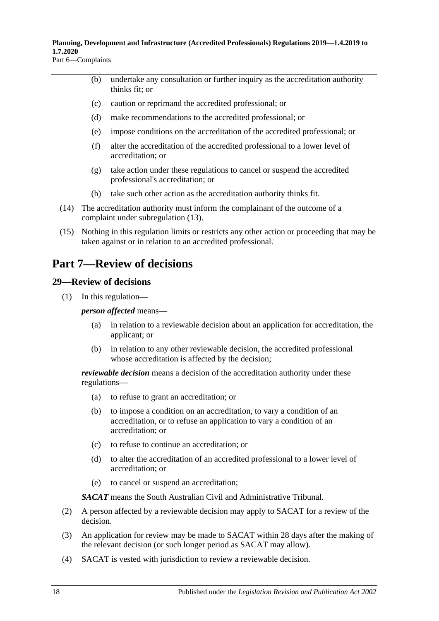(b) undertake any consultation or further inquiry as the accreditation authority thinks fit; or

- (c) caution or reprimand the accredited professional; or
- (d) make recommendations to the accredited professional; or
- (e) impose conditions on the accreditation of the accredited professional; or
- (f) alter the accreditation of the accredited professional to a lower level of accreditation; or
- (g) take action under these regulations to cancel or suspend the accredited professional's accreditation; or
- (h) take such other action as the accreditation authority thinks fit.
- (14) The accreditation authority must inform the complainant of the outcome of a complaint under [subregulation](#page-16-2) (13).
- (15) Nothing in this regulation limits or restricts any other action or proceeding that may be taken against or in relation to an accredited professional.

## <span id="page-17-0"></span>**Part 7—Review of decisions**

### <span id="page-17-1"></span>**29—Review of decisions**

(1) In this regulation—

*person affected* means—

- (a) in relation to a reviewable decision about an application for accreditation, the applicant; or
- (b) in relation to any other reviewable decision, the accredited professional whose accreditation is affected by the decision;

*reviewable decision* means a decision of the accreditation authority under these regulations—

- (a) to refuse to grant an accreditation; or
- (b) to impose a condition on an accreditation, to vary a condition of an accreditation, or to refuse an application to vary a condition of an accreditation; or
- (c) to refuse to continue an accreditation; or
- (d) to alter the accreditation of an accredited professional to a lower level of accreditation; or
- (e) to cancel or suspend an accreditation;

*SACAT* means the South Australian Civil and Administrative Tribunal.

- (2) A person affected by a reviewable decision may apply to SACAT for a review of the decision.
- (3) An application for review may be made to SACAT within 28 days after the making of the relevant decision (or such longer period as SACAT may allow).
- (4) SACAT is vested with jurisdiction to review a reviewable decision.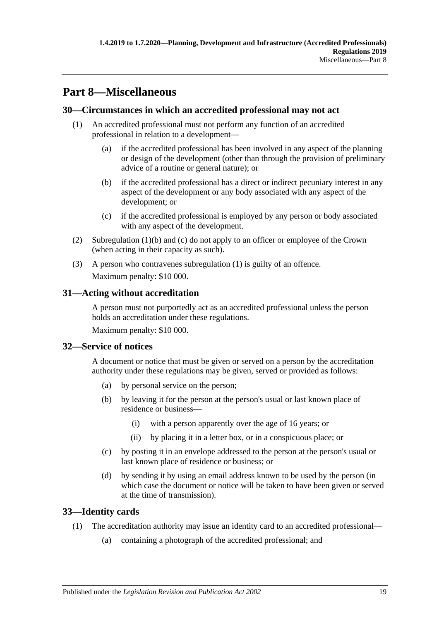# <span id="page-18-0"></span>**Part 8—Miscellaneous**

### <span id="page-18-7"></span><span id="page-18-1"></span>**30—Circumstances in which an accredited professional may not act**

- <span id="page-18-5"></span>(1) An accredited professional must not perform any function of an accredited professional in relation to a development—
	- (a) if the accredited professional has been involved in any aspect of the planning or design of the development (other than through the provision of preliminary advice of a routine or general nature); or
	- (b) if the accredited professional has a direct or indirect pecuniary interest in any aspect of the development or any body associated with any aspect of the development; or
	- (c) if the accredited professional is employed by any person or body associated with any aspect of the development.
- <span id="page-18-6"></span>(2) [Subregulation](#page-18-5) (1)(b) and [\(c\)](#page-18-6) do not apply to an officer or employee of the Crown (when acting in their capacity as such).
- (3) A person who contravenes [subregulation](#page-18-7) (1) is guilty of an offence. Maximum penalty: \$10 000.

### <span id="page-18-2"></span>**31—Acting without accreditation**

A person must not purportedly act as an accredited professional unless the person holds an accreditation under these regulations.

Maximum penalty: \$10 000.

### <span id="page-18-3"></span>**32—Service of notices**

A document or notice that must be given or served on a person by the accreditation authority under these regulations may be given, served or provided as follows:

- (a) by personal service on the person;
- (b) by leaving it for the person at the person's usual or last known place of residence or business—
	- (i) with a person apparently over the age of 16 years; or
	- (ii) by placing it in a letter box, or in a conspicuous place; or
- (c) by posting it in an envelope addressed to the person at the person's usual or last known place of residence or business; or
- (d) by sending it by using an email address known to be used by the person (in which case the document or notice will be taken to have been given or served at the time of transmission).

### <span id="page-18-4"></span>**33—Identity cards**

- (1) The accreditation authority may issue an identity card to an accredited professional—
	- (a) containing a photograph of the accredited professional; and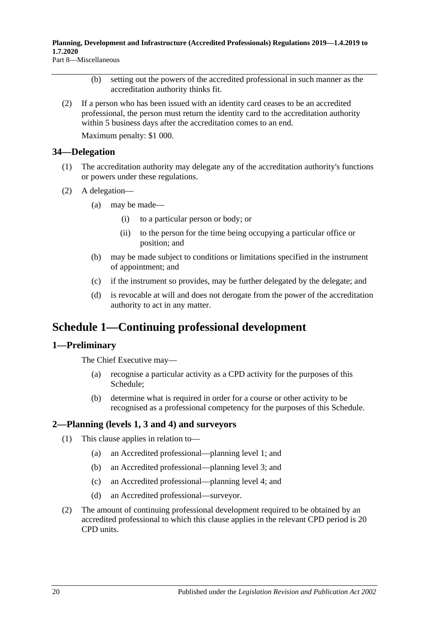Part 8—Miscellaneous

- (b) setting out the powers of the accredited professional in such manner as the accreditation authority thinks fit.
- (2) If a person who has been issued with an identity card ceases to be an accredited professional, the person must return the identity card to the accreditation authority within 5 business days after the accreditation comes to an end.

Maximum penalty: \$1 000.

### <span id="page-19-0"></span>**34—Delegation**

- (1) The accreditation authority may delegate any of the accreditation authority's functions or powers under these regulations.
- (2) A delegation—
	- (a) may be made—
		- (i) to a particular person or body; or
		- (ii) to the person for the time being occupying a particular office or position; and
	- (b) may be made subject to conditions or limitations specified in the instrument of appointment; and
	- (c) if the instrument so provides, may be further delegated by the delegate; and
	- (d) is revocable at will and does not derogate from the power of the accreditation authority to act in any matter.

# <span id="page-19-1"></span>**Schedule 1—Continuing professional development**

### <span id="page-19-2"></span>**1—Preliminary**

The Chief Executive may—

- (a) recognise a particular activity as a CPD activity for the purposes of this Schedule;
- (b) determine what is required in order for a course or other activity to be recognised as a professional competency for the purposes of this Schedule.

### <span id="page-19-3"></span>**2—Planning (levels 1, 3 and 4) and surveyors**

- (1) This clause applies in relation to—
	- (a) an Accredited professional—planning level 1; and
	- (b) an Accredited professional—planning level 3; and
	- (c) an Accredited professional—planning level 4; and
	- (d) an Accredited professional—surveyor.
- <span id="page-19-4"></span>(2) The amount of continuing professional development required to be obtained by an accredited professional to which this clause applies in the relevant CPD period is 20 CPD units.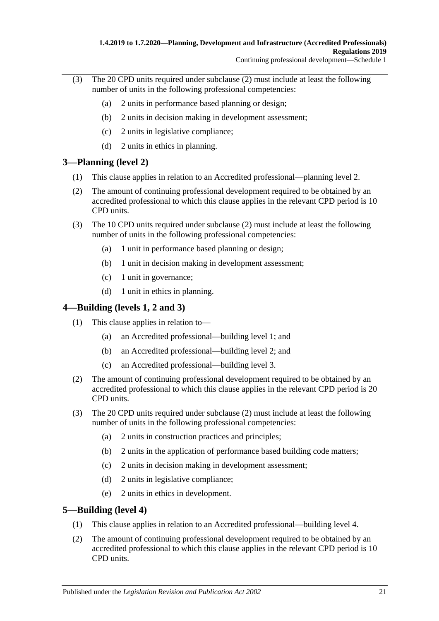- (3) The 20 CPD units required under [subclause](#page-19-4) (2) must include at least the following number of units in the following professional competencies:
	- (a) 2 units in performance based planning or design;
	- (b) 2 units in decision making in development assessment;
	- (c) 2 units in legislative compliance;
	- (d) 2 units in ethics in planning.

### <span id="page-20-0"></span>**3—Planning (level 2)**

- (1) This clause applies in relation to an Accredited professional—planning level 2.
- <span id="page-20-3"></span>(2) The amount of continuing professional development required to be obtained by an accredited professional to which this clause applies in the relevant CPD period is 10 CPD units.
- (3) The 10 CPD units required under [subclause](#page-20-3) (2) must include at least the following number of units in the following professional competencies:
	- (a) 1 unit in performance based planning or design;
	- (b) 1 unit in decision making in development assessment;
	- (c) 1 unit in governance;
	- (d) 1 unit in ethics in planning.

### <span id="page-20-1"></span>**4—Building (levels 1, 2 and 3)**

- (1) This clause applies in relation to—
	- (a) an Accredited professional—building level 1; and
	- (b) an Accredited professional—building level 2; and
	- (c) an Accredited professional—building level 3.
- <span id="page-20-4"></span>(2) The amount of continuing professional development required to be obtained by an accredited professional to which this clause applies in the relevant CPD period is 20 CPD units.
- (3) The 20 CPD units required under [subclause](#page-20-4) (2) must include at least the following number of units in the following professional competencies:
	- (a) 2 units in construction practices and principles;
	- (b) 2 units in the application of performance based building code matters;
	- (c) 2 units in decision making in development assessment;
	- (d) 2 units in legislative compliance;
	- (e) 2 units in ethics in development.

### <span id="page-20-2"></span>**5—Building (level 4)**

- (1) This clause applies in relation to an Accredited professional—building level 4.
- <span id="page-20-5"></span>(2) The amount of continuing professional development required to be obtained by an accredited professional to which this clause applies in the relevant CPD period is 10 CPD units.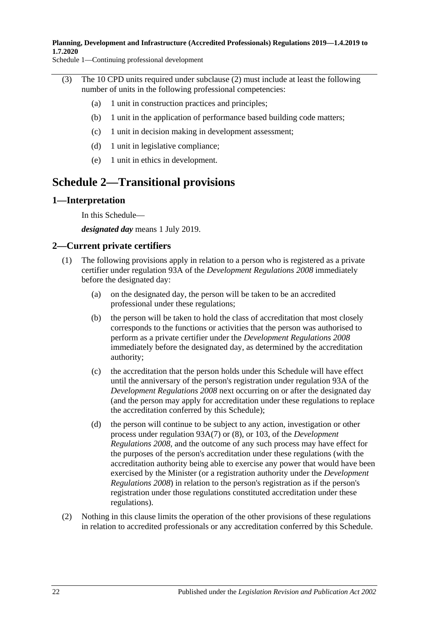Schedule 1—Continuing professional development

- (3) The 10 CPD units required under [subclause](#page-20-5) (2) must include at least the following number of units in the following professional competencies:
	- (a) 1 unit in construction practices and principles;
	- (b) 1 unit in the application of performance based building code matters;
	- (c) 1 unit in decision making in development assessment;
	- (d) 1 unit in legislative compliance;
	- (e) 1 unit in ethics in development.

## <span id="page-21-0"></span>**Schedule 2—Transitional provisions**

#### <span id="page-21-1"></span>**1—Interpretation**

In this Schedule—

*designated day* means 1 July 2019.

### <span id="page-21-2"></span>**2—Current private certifiers**

- (1) The following provisions apply in relation to a person who is registered as a private certifier under regulation 93A of the *[Development Regulations](http://www.legislation.sa.gov.au/index.aspx?action=legref&type=subordleg&legtitle=Development%20Regulations%202008) 2008* immediately before the designated day:
	- (a) on the designated day, the person will be taken to be an accredited professional under these regulations;
	- (b) the person will be taken to hold the class of accreditation that most closely corresponds to the functions or activities that the person was authorised to perform as a private certifier under the *[Development Regulations](http://www.legislation.sa.gov.au/index.aspx?action=legref&type=subordleg&legtitle=Development%20Regulations%202008) 2008* immediately before the designated day, as determined by the accreditation authority;
	- (c) the accreditation that the person holds under this Schedule will have effect until the anniversary of the person's registration under regulation 93A of the *[Development Regulations](http://www.legislation.sa.gov.au/index.aspx?action=legref&type=subordleg&legtitle=Development%20Regulations%202008) 2008* next occurring on or after the designated day (and the person may apply for accreditation under these regulations to replace the accreditation conferred by this Schedule);
	- (d) the person will continue to be subject to any action, investigation or other process under regulation 93A(7) or (8), or 103, of the *[Development](http://www.legislation.sa.gov.au/index.aspx?action=legref&type=subordleg&legtitle=Development%20Regulations%202008)  [Regulations](http://www.legislation.sa.gov.au/index.aspx?action=legref&type=subordleg&legtitle=Development%20Regulations%202008) 2008*, and the outcome of any such process may have effect for the purposes of the person's accreditation under these regulations (with the accreditation authority being able to exercise any power that would have been exercised by the Minister (or a registration authority under the *[Development](http://www.legislation.sa.gov.au/index.aspx?action=legref&type=subordleg&legtitle=Development%20Regulations%202008)  [Regulations](http://www.legislation.sa.gov.au/index.aspx?action=legref&type=subordleg&legtitle=Development%20Regulations%202008) 2008*) in relation to the person's registration as if the person's registration under those regulations constituted accreditation under these regulations).
- (2) Nothing in this clause limits the operation of the other provisions of these regulations in relation to accredited professionals or any accreditation conferred by this Schedule.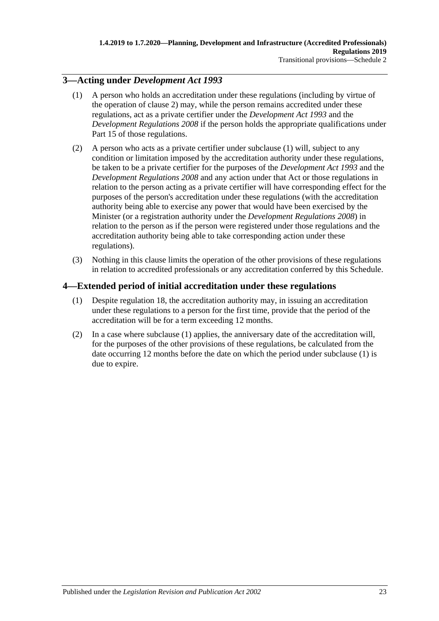### <span id="page-22-2"></span><span id="page-22-0"></span>**3—Acting under** *Development Act 1993*

- (1) A person who holds an accreditation under these regulations (including by virtue of the operation of [clause](#page-21-2) 2) may, while the person remains accredited under these regulations, act as a private certifier under the *[Development Act](http://www.legislation.sa.gov.au/index.aspx?action=legref&type=act&legtitle=Development%20Act%201993) 1993* and the *[Development Regulations](http://www.legislation.sa.gov.au/index.aspx?action=legref&type=subordleg&legtitle=Development%20Regulations%202008) 2008* if the person holds the appropriate qualifications under Part 15 of those regulations.
- (2) A person who acts as a private certifier under [subclause](#page-22-2) (1) will, subject to any condition or limitation imposed by the accreditation authority under these regulations, be taken to be a private certifier for the purposes of the *[Development Act](http://www.legislation.sa.gov.au/index.aspx?action=legref&type=act&legtitle=Development%20Act%201993) 1993* and the *[Development Regulations](http://www.legislation.sa.gov.au/index.aspx?action=legref&type=subordleg&legtitle=Development%20Regulations%202008) 2008* and any action under that Act or those regulations in relation to the person acting as a private certifier will have corresponding effect for the purposes of the person's accreditation under these regulations (with the accreditation authority being able to exercise any power that would have been exercised by the Minister (or a registration authority under the *[Development Regulations](http://www.legislation.sa.gov.au/index.aspx?action=legref&type=subordleg&legtitle=Development%20Regulations%202008) 2008*) in relation to the person as if the person were registered under those regulations and the accreditation authority being able to take corresponding action under these regulations).
- (3) Nothing in this clause limits the operation of the other provisions of these regulations in relation to accredited professionals or any accreditation conferred by this Schedule.

## <span id="page-22-3"></span><span id="page-22-1"></span>**4—Extended period of initial accreditation under these regulations**

- (1) Despite [regulation](#page-7-1) 18, the accreditation authority may, in issuing an accreditation under these regulations to a person for the first time, provide that the period of the accreditation will be for a term exceeding 12 months.
- (2) In a case where [subclause](#page-22-3) (1) applies, the anniversary date of the accreditation will, for the purposes of the other provisions of these regulations, be calculated from the date occurring 12 months before the date on which the period under [subclause](#page-22-3) (1) is due to expire.